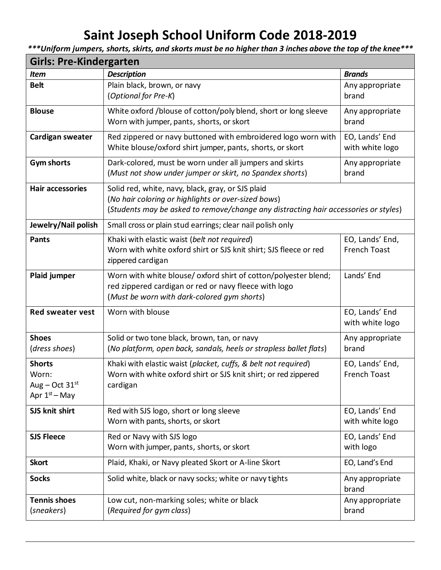# **Saint Joseph School Uniform Code 2018-2019**

*\*\*\*Uniform jumpers, shorts, skirts, and skorts must be no higher than 3 inches above the top of the knee\*\*\**

| <b>Girls: Pre-Kindergarten</b>                                |                                                                                                                                                                                                 |                                        |  |
|---------------------------------------------------------------|-------------------------------------------------------------------------------------------------------------------------------------------------------------------------------------------------|----------------------------------------|--|
| <b>Item</b>                                                   | <b>Description</b>                                                                                                                                                                              | <b>Brands</b>                          |  |
| <b>Belt</b>                                                   | Plain black, brown, or navy<br>(Optional for Pre-K)                                                                                                                                             | Any appropriate<br>brand               |  |
| <b>Blouse</b>                                                 | White oxford /blouse of cotton/poly blend, short or long sleeve<br>Worn with jumper, pants, shorts, or skort                                                                                    | Any appropriate<br>brand               |  |
| Cardigan sweater                                              | Red zippered or navy buttoned with embroidered logo worn with<br>White blouse/oxford shirt jumper, pants, shorts, or skort                                                                      | EO, Lands' End<br>with white logo      |  |
| <b>Gym shorts</b>                                             | Dark-colored, must be worn under all jumpers and skirts<br>(Must not show under jumper or skirt, no Spandex shorts)                                                                             | Any appropriate<br>brand               |  |
| <b>Hair accessories</b>                                       | Solid red, white, navy, black, gray, or SJS plaid<br>(No hair coloring or highlights or over-sized bows)<br>(Students may be asked to remove/change any distracting hair accessories or styles) |                                        |  |
| Jewelry/Nail polish                                           | Small cross or plain stud earrings; clear nail polish only                                                                                                                                      |                                        |  |
| <b>Pants</b>                                                  | Khaki with elastic waist (belt not required)<br>Worn with white oxford shirt or SJS knit shirt; SJS fleece or red<br>zippered cardigan                                                          | EO, Lands' End,<br><b>French Toast</b> |  |
| Plaid jumper                                                  | Worn with white blouse/ oxford shirt of cotton/polyester blend;<br>red zippered cardigan or red or navy fleece with logo<br>(Must be worn with dark-colored gym shorts)                         | Lands' End                             |  |
| <b>Red sweater vest</b>                                       | Worn with blouse                                                                                                                                                                                | EO, Lands' End<br>with white logo      |  |
| <b>Shoes</b><br>(dress shoes)                                 | Solid or two tone black, brown, tan, or navy<br>(No platform, open back, sandals, heels or strapless ballet flats)                                                                              | Any appropriate<br>brand               |  |
| <b>Shorts</b><br>Worn:<br>Aug – Oct $31st$<br>Apr $1st$ – May | Khaki with elastic waist (placket, cuffs, & belt not required)<br>Worn with white oxford shirt or SJS knit shirt; or red zippered<br>cardigan                                                   | EO, Lands' End,<br><b>French Toast</b> |  |
| SJS knit shirt                                                | Red with SJS logo, short or long sleeve<br>Worn with pants, shorts, or skort                                                                                                                    | EO, Lands' End<br>with white logo      |  |
| <b>SJS Fleece</b>                                             | Red or Navy with SJS logo<br>Worn with jumper, pants, shorts, or skort                                                                                                                          | EO, Lands' End<br>with logo            |  |
| <b>Skort</b>                                                  | Plaid, Khaki, or Navy pleated Skort or A-line Skort                                                                                                                                             | EO, Land's End                         |  |
| <b>Socks</b>                                                  | Solid white, black or navy socks; white or navy tights                                                                                                                                          | Any appropriate<br>brand               |  |
| <b>Tennis shoes</b><br>(sneakers)                             | Low cut, non-marking soles; white or black<br>(Required for gym class)                                                                                                                          | Any appropriate<br>brand               |  |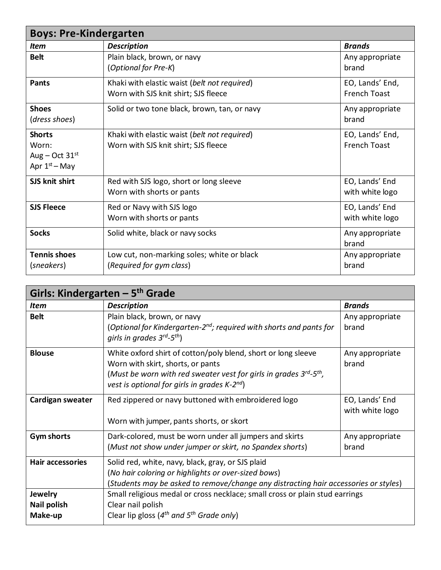| <b>Boys: Pre-Kindergarten</b>                                 |                                                                                      |                                        |
|---------------------------------------------------------------|--------------------------------------------------------------------------------------|----------------------------------------|
| <b>Item</b>                                                   | <b>Description</b>                                                                   | <b>Brands</b>                          |
| <b>Belt</b>                                                   | Plain black, brown, or navy<br>(Optional for Pre-K)                                  | Any appropriate<br>brand               |
| <b>Pants</b>                                                  | Khaki with elastic waist (belt not required)<br>Worn with SJS knit shirt; SJS fleece | EO, Lands' End,<br><b>French Toast</b> |
| <b>Shoes</b><br>(dress shoes)                                 | Solid or two tone black, brown, tan, or navy                                         | Any appropriate<br>brand               |
| <b>Shorts</b><br>Worn:<br>Aug – Oct $31st$<br>Apr $1st$ – May | Khaki with elastic waist (belt not required)<br>Worn with SJS knit shirt; SJS fleece | EO, Lands' End,<br><b>French Toast</b> |
| SJS knit shirt                                                | Red with SJS logo, short or long sleeve<br>Worn with shorts or pants                 | EO, Lands' End<br>with white logo      |
| <b>SJS Fleece</b>                                             | Red or Navy with SJS logo<br>Worn with shorts or pants                               | EO, Lands' End<br>with white logo      |
| <b>Socks</b>                                                  | Solid white, black or navy socks                                                     | Any appropriate<br>brand               |
| <b>Tennis shoes</b><br>(sneakers)                             | Low cut, non-marking soles; white or black<br>(Required for gym class)               | Any appropriate<br>brand               |

| Girls: Kindergarten - $5th$ Grade               |                                                                                                                                                                                                                                                          |                                   |
|-------------------------------------------------|----------------------------------------------------------------------------------------------------------------------------------------------------------------------------------------------------------------------------------------------------------|-----------------------------------|
| <b>Item</b>                                     | <b>Description</b>                                                                                                                                                                                                                                       | <b>Brands</b>                     |
| <b>Belt</b>                                     | Plain black, brown, or navy<br>(Optional for Kindergarten-2 <sup>nd</sup> ; required with shorts and pants for<br>girls in grades $3^{rd}$ -5 <sup>th</sup> )                                                                                            | Any appropriate<br>brand          |
| <b>Blouse</b>                                   | White oxford shirt of cotton/poly blend, short or long sleeve<br>Worn with skirt, shorts, or pants<br>(Must be worn with red sweater vest for girls in grades $3^{rd}$ -5 <sup>th</sup> ,<br>vest is optional for girls in grades $K$ -2 <sup>nd</sup> ) | Any appropriate<br>brand          |
| Cardigan sweater                                | Red zippered or navy buttoned with embroidered logo<br>Worn with jumper, pants shorts, or skort                                                                                                                                                          | EO, Lands' End<br>with white logo |
| <b>Gym shorts</b>                               | Dark-colored, must be worn under all jumpers and skirts<br>(Must not show under jumper or skirt, no Spandex shorts)                                                                                                                                      | Any appropriate<br>brand          |
| <b>Hair accessories</b>                         | Solid red, white, navy, black, gray, or SJS plaid<br>(No hair coloring or highlights or over-sized bows)<br>(Students may be asked to remove/change any distracting hair accessories or styles)                                                          |                                   |
| <b>Jewelry</b><br><b>Nail polish</b><br>Make-up | Small religious medal or cross necklace; small cross or plain stud earrings<br>Clear nail polish<br>Clear lip gloss ( $4^{th}$ and $5^{th}$ Grade only)                                                                                                  |                                   |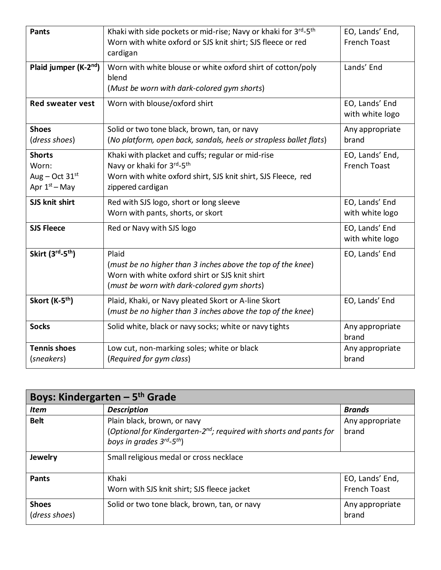| <b>Pants</b>                                                  | Khaki with side pockets or mid-rise; Navy or khaki for 3 <sup>rd</sup> -5 <sup>th</sup><br>Worn with white oxford or SJS knit shirt; SJS fleece or red<br>cardigan    | EO, Lands' End,<br><b>French Toast</b> |
|---------------------------------------------------------------|-----------------------------------------------------------------------------------------------------------------------------------------------------------------------|----------------------------------------|
| Plaid jumper (K-2 <sup>nd</sup> )                             | Worn with white blouse or white oxford shirt of cotton/poly<br>blend<br>(Must be worn with dark-colored gym shorts)                                                   | Lands' End                             |
| <b>Red sweater vest</b>                                       | Worn with blouse/oxford shirt                                                                                                                                         | EO, Lands' End<br>with white logo      |
| <b>Shoes</b><br>(dress shoes)                                 | Solid or two tone black, brown, tan, or navy<br>(No platform, open back, sandals, heels or strapless ballet flats)                                                    | Any appropriate<br>brand               |
| <b>Shorts</b><br>Worn:<br>Aug – Oct $31st$<br>Apr $1st$ – May | Khaki with placket and cuffs; regular or mid-rise<br>Navy or khaki for 3rd-5th<br>Worn with white oxford shirt, SJS knit shirt, SJS Fleece, red<br>zippered cardigan  | EO, Lands' End,<br><b>French Toast</b> |
| SJS knit shirt                                                | Red with SJS logo, short or long sleeve<br>Worn with pants, shorts, or skort                                                                                          | EO, Lands' End<br>with white logo      |
| <b>SJS Fleece</b>                                             | Red or Navy with SJS logo                                                                                                                                             | EO, Lands' End<br>with white logo      |
| Skirt (3rd-5 <sup>th</sup> )                                  | Plaid<br>(must be no higher than 3 inches above the top of the knee)<br>Worn with white oxford shirt or SJS knit shirt<br>(must be worn with dark-colored gym shorts) | EO, Lands' End                         |
| Skort (K-5 <sup>th</sup> )                                    | Plaid, Khaki, or Navy pleated Skort or A-line Skort<br>(must be no higher than 3 inches above the top of the knee)                                                    | EO, Lands' End                         |
| <b>Socks</b>                                                  | Solid white, black or navy socks; white or navy tights                                                                                                                | Any appropriate<br>brand               |
| <b>Tennis shoes</b><br>(sneakers)                             | Low cut, non-marking soles; white or black<br>(Required for gym class)                                                                                                | Any appropriate<br>brand               |

| Boys: Kindergarten $-5$ <sup>th</sup> Grade |                                                                                                                                                              |                                        |
|---------------------------------------------|--------------------------------------------------------------------------------------------------------------------------------------------------------------|----------------------------------------|
| <b>Item</b>                                 | <b>Description</b>                                                                                                                                           | <b>Brands</b>                          |
| <b>Belt</b>                                 | Plain black, brown, or navy<br>(Optional for Kindergarten-2 <sup>nd</sup> ; required with shorts and pants for<br>boys in grades $3^{rd}$ -5 <sup>th</sup> ) | Any appropriate<br>brand               |
| Jewelry                                     | Small religious medal or cross necklace                                                                                                                      |                                        |
| <b>Pants</b>                                | Khaki<br>Worn with SJS knit shirt; SJS fleece jacket                                                                                                         | EO, Lands' End,<br><b>French Toast</b> |
| <b>Shoes</b><br>(dress shoes)               | Solid or two tone black, brown, tan, or navy                                                                                                                 | Any appropriate<br>brand               |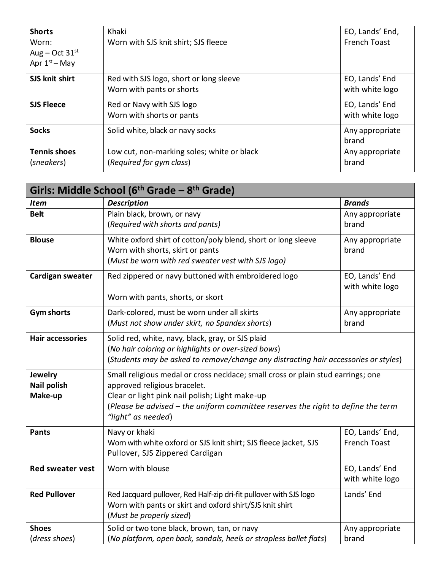| <b>Shorts</b><br>Worn:<br>Aug – Oct $31st$<br>Apr $1st$ – May | Khaki<br>Worn with SJS knit shirt; SJS fleece                          | EO, Lands' End,<br><b>French Toast</b> |
|---------------------------------------------------------------|------------------------------------------------------------------------|----------------------------------------|
| SJS knit shirt                                                | Red with SJS logo, short or long sleeve<br>Worn with pants or shorts   | EO, Lands' End<br>with white logo      |
| <b>SJS Fleece</b>                                             | Red or Navy with SJS logo<br>Worn with shorts or pants                 | EO, Lands' End<br>with white logo      |
| <b>Socks</b>                                                  | Solid white, black or navy socks                                       | Any appropriate<br>brand               |
| <b>Tennis shoes</b><br>(sneakers)                             | Low cut, non-marking soles; white or black<br>(Required for gym class) | Any appropriate<br>brand               |

| Girls: Middle School (6 <sup>th</sup> Grade – 8 <sup>th</sup> Grade) |                                                                                                                                                                                                                                                                              |                                        |
|----------------------------------------------------------------------|------------------------------------------------------------------------------------------------------------------------------------------------------------------------------------------------------------------------------------------------------------------------------|----------------------------------------|
| <b>Item</b>                                                          | <b>Description</b>                                                                                                                                                                                                                                                           | <b>Brands</b>                          |
| <b>Belt</b>                                                          | Plain black, brown, or navy<br>(Required with shorts and pants)                                                                                                                                                                                                              | Any appropriate<br>brand               |
| <b>Blouse</b>                                                        | White oxford shirt of cotton/poly blend, short or long sleeve<br>Worn with shorts, skirt or pants<br>(Must be worn with red sweater vest with SJS logo)                                                                                                                      | Any appropriate<br>brand               |
| Cardigan sweater                                                     | Red zippered or navy buttoned with embroidered logo<br>Worn with pants, shorts, or skort                                                                                                                                                                                     | EO, Lands' End<br>with white logo      |
| <b>Gym shorts</b>                                                    | Dark-colored, must be worn under all skirts<br>(Must not show under skirt, no Spandex shorts)                                                                                                                                                                                | Any appropriate<br>brand               |
| <b>Hair accessories</b>                                              | Solid red, white, navy, black, gray, or SJS plaid<br>(No hair coloring or highlights or over-sized bows)<br>(Students may be asked to remove/change any distracting hair accessories or styles)                                                                              |                                        |
| <b>Jewelry</b><br><b>Nail polish</b><br>Make-up                      | Small religious medal or cross necklace; small cross or plain stud earrings; one<br>approved religious bracelet.<br>Clear or light pink nail polish; Light make-up<br>(Please be advised - the uniform committee reserves the right to define the term<br>"light" as needed) |                                        |
| <b>Pants</b>                                                         | Navy or khaki<br>Worn with white oxford or SJS knit shirt; SJS fleece jacket, SJS<br>Pullover, SJS Zippered Cardigan                                                                                                                                                         | EO, Lands' End,<br><b>French Toast</b> |
| <b>Red sweater vest</b>                                              | Worn with blouse                                                                                                                                                                                                                                                             | EO, Lands' End<br>with white logo      |
| <b>Red Pullover</b>                                                  | Red Jacquard pullover, Red Half-zip dri-fit pullover with SJS logo<br>Worn with pants or skirt and oxford shirt/SJS knit shirt<br>(Must be properly sized)                                                                                                                   | Lands' End                             |
| <b>Shoes</b><br>(dress shoes)                                        | Solid or two tone black, brown, tan, or navy<br>(No platform, open back, sandals, heels or strapless ballet flats)                                                                                                                                                           | Any appropriate<br>brand               |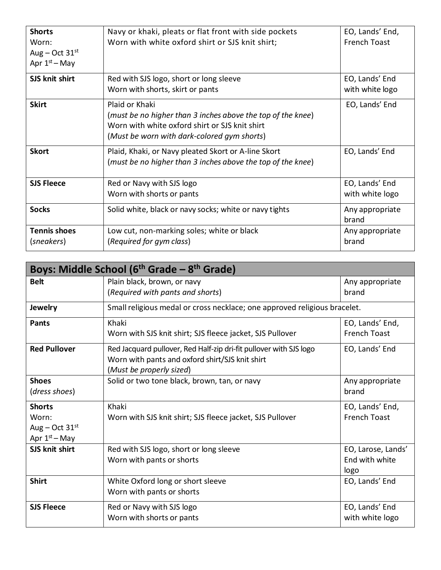| <b>Shorts</b><br>Worn:<br>Aug – Oct $31st$<br>Apr $1st$ – May | Navy or khaki, pleats or flat front with side pockets<br>Worn with white oxford shirt or SJS knit shirt;                                                                       | EO, Lands' End,<br><b>French Toast</b> |
|---------------------------------------------------------------|--------------------------------------------------------------------------------------------------------------------------------------------------------------------------------|----------------------------------------|
| SJS knit shirt                                                | Red with SJS logo, short or long sleeve<br>Worn with shorts, skirt or pants                                                                                                    | EO, Lands' End<br>with white logo      |
| <b>Skirt</b>                                                  | Plaid or Khaki<br>(must be no higher than 3 inches above the top of the knee)<br>Worn with white oxford shirt or SJS knit shirt<br>(Must be worn with dark-colored gym shorts) | EO, Lands' End                         |
| <b>Skort</b>                                                  | Plaid, Khaki, or Navy pleated Skort or A-line Skort<br>(must be no higher than 3 inches above the top of the knee)                                                             | EO, Lands' End                         |
| <b>SJS Fleece</b>                                             | Red or Navy with SJS logo<br>Worn with shorts or pants                                                                                                                         | EO, Lands' End<br>with white logo      |
| <b>Socks</b>                                                  | Solid white, black or navy socks; white or navy tights                                                                                                                         | Any appropriate<br>brand               |
| <b>Tennis shoes</b><br>(sneakers)                             | Low cut, non-marking soles; white or black<br>(Required for gym class)                                                                                                         | Any appropriate<br>brand               |

| Boys: Middle School (6 <sup>th</sup> Grade – 8 <sup>th</sup> Grade) |                                                                                                                                                   |                                              |
|---------------------------------------------------------------------|---------------------------------------------------------------------------------------------------------------------------------------------------|----------------------------------------------|
| <b>Belt</b>                                                         | Plain black, brown, or navy<br>(Required with pants and shorts)                                                                                   | Any appropriate<br>brand                     |
| <b>Jewelry</b>                                                      | Small religious medal or cross necklace; one approved religious bracelet.                                                                         |                                              |
| <b>Pants</b>                                                        | Khaki<br>Worn with SJS knit shirt; SJS fleece jacket, SJS Pullover                                                                                | EO, Lands' End,<br><b>French Toast</b>       |
| <b>Red Pullover</b>                                                 | Red Jacquard pullover, Red Half-zip dri-fit pullover with SJS logo<br>Worn with pants and oxford shirt/SJS knit shirt<br>(Must be properly sized) | EO, Lands' End                               |
| <b>Shoes</b><br>(dress shoes)                                       | Solid or two tone black, brown, tan, or navy                                                                                                      | Any appropriate<br>brand                     |
| <b>Shorts</b><br>Worn:<br>Aug – Oct $31st$<br>Apr $1st$ – May       | Khaki<br>Worn with SJS knit shirt; SJS fleece jacket, SJS Pullover                                                                                | EO, Lands' End,<br><b>French Toast</b>       |
| SJS knit shirt                                                      | Red with SJS logo, short or long sleeve<br>Worn with pants or shorts                                                                              | EO, Larose, Lands'<br>End with white<br>logo |
| <b>Shirt</b>                                                        | White Oxford long or short sleeve<br>Worn with pants or shorts                                                                                    | EO, Lands' End                               |
| <b>SJS Fleece</b>                                                   | Red or Navy with SJS logo<br>Worn with shorts or pants                                                                                            | EO, Lands' End<br>with white logo            |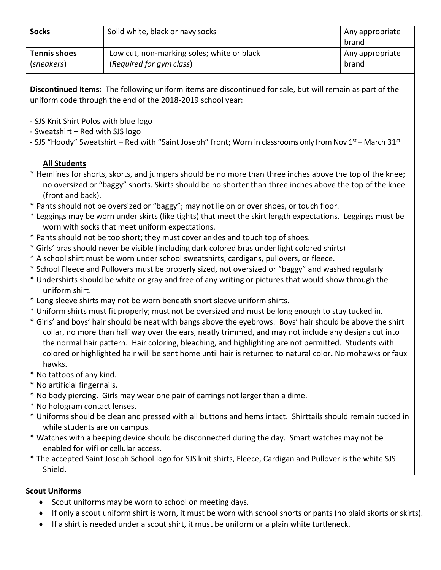| <b>Socks</b>        | Solid white, black or navy socks           | Any appropriate<br>brand |
|---------------------|--------------------------------------------|--------------------------|
| <b>Tennis shoes</b> | Low cut, non-marking soles; white or black | Any appropriate          |
| (sneakers)          | (Required for gym class)                   | brand                    |

**Discontinued Items:** The following uniform items are discontinued for sale, but will remain as part of the uniform code through the end of the 2018-2019 school year:

- SJS Knit Shirt Polos with blue logo
- Sweatshirt Red with SJS logo

- SJS "Hoody" Sweatshirt – Red with "Saint Joseph" front; Worn in classrooms only from Nov 1<sup>st</sup> – March 31<sup>st</sup>

## **All Students**

- \* Hemlines for shorts, skorts, and jumpers should be no more than three inches above the top of the knee; no oversized or "baggy" shorts. Skirts should be no shorter than three inches above the top of the knee (front and back).
- \* Pants should not be oversized or "baggy"; may not lie on or over shoes, or touch floor.
- \* Leggings may be worn under skirts (like tights) that meet the skirt length expectations. Leggings must be worn with socks that meet uniform expectations.
- \* Pants should not be too short; they must cover ankles and touch top of shoes.
- \* Girls' bras should never be visible (including dark colored bras under light colored shirts)
- \* A school shirt must be worn under school sweatshirts, cardigans, pullovers, or fleece.
- \* School Fleece and Pullovers must be properly sized, not oversized or "baggy" and washed regularly
- \* Undershirts should be white or gray and free of any writing or pictures that would show through the uniform shirt.
- \* Long sleeve shirts may not be worn beneath short sleeve uniform shirts.
- \* Uniform shirts must fit properly; must not be oversized and must be long enough to stay tucked in.
- \* Girls' and boys' hair should be neat with bangs above the eyebrows. Boys' hair should be above the shirt collar, no more than half way over the ears, neatly trimmed, and may not include any designs cut into the normal hair pattern. Hair coloring, bleaching, and highlighting are not permitted. Students with colored or highlighted hair will be sent home until hair is returned to natural color**.** No mohawks or faux hawks.
- \* No tattoos of any kind.
- \* No artificial fingernails.
- \* No body piercing. Girls may wear one pair of earrings not larger than a dime.
- \* No hologram contact lenses.
- \* Uniforms should be clean and pressed with all buttons and hems intact. Shirttails should remain tucked in while students are on campus.
- \* Watches with a beeping device should be disconnected during the day. Smart watches may not be enabled for wifi or cellular access.
- \* The accepted Saint Joseph School logo for SJS knit shirts, Fleece, Cardigan and Pullover is the white SJS Shield.

## **Scout Uniforms**

- Scout uniforms may be worn to school on meeting days.
- If only a scout uniform shirt is worn, it must be worn with school shorts or pants (no plaid skorts or skirts).
- If a shirt is needed under a scout shirt, it must be uniform or a plain white turtleneck.